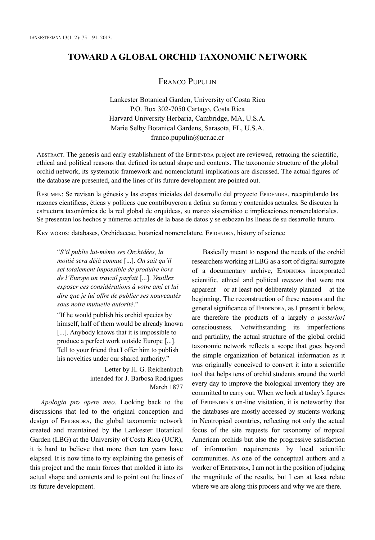# **TOWARD A GLOBAL ORCHID TAXONOMIC NETWORK**

FRANCO PUPULIN

Lankester Botanical Garden, University of Costa Rica P.O. Box 302-7050 Cartago, Costa Rica Harvard University Herbaria, Cambridge, MA, U.S.A. Marie Selby Botanical Gardens, Sarasota, FL, U.S.A. franco.pupulin@ucr.ac.cr

ABSTRACT. The genesis and early establishment of the EPIDENDRA project are reviewed, retracing the scientific, ethical and political reasons that defined its actual shape and contents. The taxonomic structure of the global orchid network, its systematic framework and nomenclatural implications are discussed. The actual figures of the database are presented, and the lines of its future development are pointed out.

RESUMEN: Se revisan la génesis y las etapas iniciales del desarrollo del proyecto EPIDENDRA, recapitulando las razones científicas, éticas y políticas que contribuyeron a definir su forma y contenidos actuales. Se discuten la estructura taxonómica de la red global de orquídeas, su marco sistemático e implicaciones nomenclatoriales. Se presentan los hechos y números actuales de la base de datos y se esbozan las líneas de su desarrollo futuro.

KEY WORDS: databases, Orchidaceae, botanical nomenclature, EPIDENDRA, history of science

"*S'il publie lui-même ses Orchidées, la moitié sera déjà connue* [...]. *On sait qu'il set totalement impossible de produire hors de l'Europe un travail parfait* [...]. *Veuillez exposer ces considérations à votre ami et lui dire que je lui offre de publier ses nouveautés sous notre mutuelle autorité*."

"If he would publish his orchid species by himself, half of them would be already known [...]. Anybody knows that it is impossible to produce a perfect work outside Europe [...]. Tell to your friend that I offer him to publish his novelties under our shared authority."

> Letter by H. G. Reichenbach intended for J. Barbosa Rodrigues March 1877

*Apologia pro opere meo*. Looking back to the discussions that led to the original conception and design of EPIDENDRA, the global taxonomic network created and maintained by the Lankester Botanical Garden (LBG) at the University of Costa Rica (UCR), it is hard to believe that more then ten years have elapsed. It is now time to try explaining the genesis of this project and the main forces that molded it into its actual shape and contents and to point out the lines of its future development.

Basically meant to respond the needs of the orchid researchers working at LBG as a sort of digital surrogate of a documentary archive, EPIDENDRA incorporated scientific, ethical and political *reasons* that were not apparent – or at least not deliberately planned – at the beginning. The reconstruction of these reasons and the general significance of EPIDENDRA, as I present it below, are therefore the products of a largely *a posteriori* consciousness. Notwithstanding its imperfections and partiality, the actual structure of the global orchid taxonomic network reflects a scope that goes beyond the simple organization of botanical information as it was originally conceived to convert it into a scientific tool that helps tens of orchid students around the world every day to improve the biological inventory they are committed to carry out. When we look at today's figures of EPIDENDRA's on-line visitation, it is noteworthy that the databases are mostly accessed by students working in Neotropical countries, reflecting not only the actual focus of the site requests for taxonomy of tropical American orchids but also the progressive satisfaction of information requirements by local scientific communities. As one of the conceptual authors and a worker of EPIDENDRA, I am not in the position of judging the magnitude of the results, but I can at least relate where we are along this process and why we are there.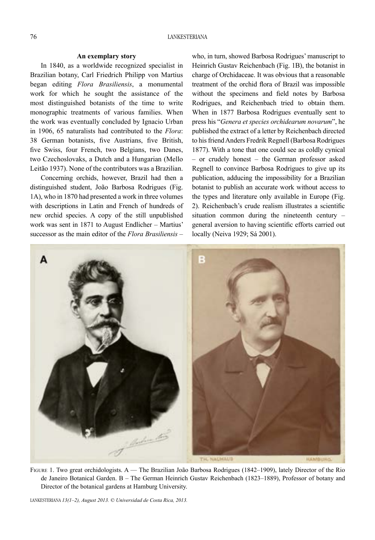# **An exemplary story**

In 1840, as a worldwide recognized specialist in Brazilian botany, Carl Friedrich Philipp von Martius began editing *Flora Brasiliensis*, a monumental work for which he sought the assistance of the most distinguished botanists of the time to write monographic treatments of various families. When the work was eventually concluded by Ignacio Urban in 1906, 65 naturalists had contributed to the *Flora*: 38 German botanists, five Austrians, five British, five Swiss, four French, two Belgians, two Danes, two Czechoslovaks, a Dutch and a Hungarian (Mello Leitão 1937). None of the contributors was a Brazilian.

Concerning orchids, however, Brazil had then a distinguished student, João Barbosa Rodrigues (Fig. 1A), who in 1870 had presented a work in three volumes with descriptions in Latin and French of hundreds of new orchid species. A copy of the still unpublished work was sent in 1871 to August Endlicher – Martius' successor as the main editor of the *Flora Brasiliensis* –

who, in turn, showed Barbosa Rodrigues' manuscript to Heinrich Gustav Reichenbach (Fig. 1B), the botanist in charge of Orchidaceae. It was obvious that a reasonable treatment of the orchid flora of Brazil was impossible without the specimens and field notes by Barbosa Rodrigues, and Reichenbach tried to obtain them. When in 1877 Barbosa Rodrigues eventually sent to press his "*Genera et species orchidearum novarum*", he published the extract of a letter by Reichenbach directed to his friend Anders Fredrik Regnell (Barbosa Rodrigues 1877). With a tone that one could see as coldly cynical – or crudely honest – the German professor asked Regnell to convince Barbosa Rodrigues to give up its publication, adducing the impossibility for a Brazilian botanist to publish an accurate work without access to the types and literature only available in Europe (Fig. 2). Reichenbach's crude realism illustrates a scientific situation common during the nineteenth century – general aversion to having scientific efforts carried out locally (Neiva 1929; Sá 2001).



FIGURE 1. Two great orchidologists. A — The Brazilian João Barbosa Rodrigues (1842–1909), lately Director of the Rio de Janeiro Botanical Garden. B – The German Heinrich Gustav Reichenbach (1823–1889), Professor of botany and Director of the botanical gardens at Hamburg University.

LANKESTERIANA *13(1–2), August 2013.* © *Universidad de Costa Rica, 2013.*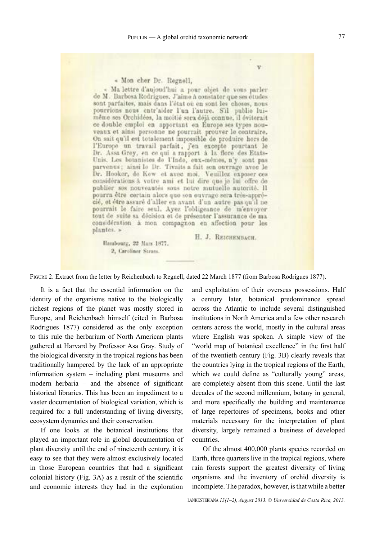« Mon cher Dr. Regnell.

« Ma lettre d'aujoud'hui a pour objet de vous parler de M. Barbosa Rodrigues. J'aime à constator que ses études sont parfaites, mais dans l'état où en sont les choses, nous pourrions nous entr'aider l'un l'autre. S'il publie luimême ses Orchidées, la moitié sera déjà connue, il éviterait ce double emploi en apportant en Europe ses types nouveaux et ainsi personne ne pourrait prouver le contraire. On sait qu'il est totalement impossible de produire hors de l'Europe un travail parfait, j'en excepte pourtant le Dr. Assa Grey, en ce qui a rapport à la flore des Etats-Unis. Les botanistes de l'Inde, eux-mêmes, n'y sont pas parvenus; ainsi le Dr. Tivaits a fait son ouvrage avec le Dr. Hooker, de Kew et avec moi. Veuillez exposer ces considérations à votre ami et lui dire que je lui offre de publier ses nouveautés sous notre mutuelle autorité. Il pourra être certain alors que son ouvrage sera très-appréció, et étre assuré d'aller en avant d'un autre pas qu'il ne pourrait le faire seul. Ayez l'obligeance de m'envoyer tout de suite sa décision et de présenter l'assurance de ma considération à mon compagnon en affection pour les plantes. »

Hambourg, 22 Mars 1877. 2, Caroliner Strats.

FIGURE 2. Extract from the letter by Reichenbach to Regnell, dated 22 March 1877 (from Barbosa Rodrigues 1877).

H. J. REICHEMBACH.

It is a fact that the essential information on the identity of the organisms native to the biologically richest regions of the planet was mostly stored in Europe, and Reichenbach himself (cited in Barbosa Rodrigues 1877) considered as the only exception to this rule the herbarium of North American plants gathered at Harvard by Professor Asa Gray. Study of the biological diversity in the tropical regions has been traditionally hampered by the lack of an appropriate information system – including plant museums and modern herbaria – and the absence of significant historical libraries. This has been an impediment to a vaster documentation of biological variation, which is required for a full understanding of living diversity, ecosystem dynamics and their conservation.

If one looks at the botanical institutions that played an important role in global documentation of plant diversity until the end of nineteenth century, it is easy to see that they were almost exclusively located in those European countries that had a significant colonial history (Fig. 3A) as a result of the scientific and economic interests they had in the exploration

and exploitation of their overseas possessions. Half a century later, botanical predominance spread across the Atlantic to include several distinguished institutions in North America and a few other research centers across the world, mostly in the cultural areas where English was spoken. A simple view of the "world map of botanical excellence" in the first half of the twentieth century (Fig. 3B) clearly reveals that the countries lying in the tropical regions of the Earth, which we could define as "culturally young" areas, are completely absent from this scene. Until the last decades of the second millennium, botany in general, and more specifically the building and maintenance of large repertoires of specimens, books and other materials necessary for the interpretation of plant diversity, largely remained a business of developed countries.

v

Of the almost 400,000 plants species recorded on Earth, three quarters live in the tropical regions, where rain forests support the greatest diversity of living organisms and the inventory of orchid diversity is incomplete. The paradox, however, is that while a better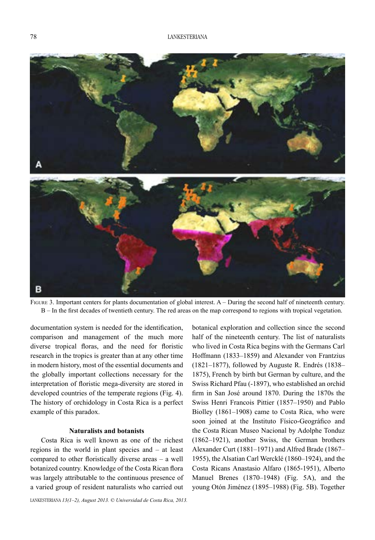

FIGURE 3. Important centers for plants documentation of global interest. A – During the second half of nineteenth century. B – In the first decades of twentieth century. The red areas on the map correspond to regions with tropical vegetation.

documentation system is needed for the identification, comparison and management of the much more diverse tropical floras, and the need for floristic research in the tropics is greater than at any other time in modern history, most of the essential documents and the globally important collections necessary for the interpretation of floristic mega-diversity are stored in developed countries of the temperate regions (Fig. 4). The history of orchidology in Costa Rica is a perfect example of this paradox.

# **Naturalists and botanists**

Costa Rica is well known as one of the richest regions in the world in plant species and – at least compared to other floristically diverse areas – a well botanized country. Knowledge of the Costa Rican flora was largely attributable to the continuous presence of a varied group of resident naturalists who carried out

botanical exploration and collection since the second half of the nineteenth century. The list of naturalists who lived in Costa Rica begins with the Germans Carl Hoffmann (1833–1859) and Alexander von Frantzius (1821–1877), followed by Auguste R. Endrés (1838– 1875), French by birth but German by culture, and the Swiss Richard Pfau (-1897), who established an orchid firm in San José around 1870. During the 1870s the Swiss Henri Francois Pittier (1857–1950) and Pablo Biolley (1861–1908) came to Costa Rica, who were soon joined at the Instituto Físico-Geográfico and the Costa Rican Museo Nacional by Adolphe Tonduz (1862–1921), another Swiss, the German brothers Alexander Curt (1881–1971) and Alfred Brade (1867– 1955), the Alsatian Carl Wercklé (1860–1924), and the Costa Ricans Anastasio Alfaro (1865-1951), Alberto Manuel Brenes (1870–1948) (Fig. 5A), and the young Otón Jiménez (1895–1988) (Fig. 5B). Together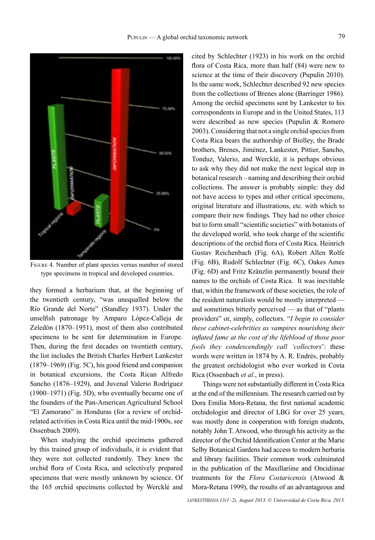

Figure 4. Number of plant species versus number of stored type specimens in tropical and developed countries.

they formed a herbarium that, at the beginning of the twentieth century, "was unequalled below the Río Grande del Norte" (Standley 1937). Under the unselfish patronage by Amparo López-Calleja de Zeledón (1870–1951), most of them also contributed specimens to be sent for determination in Europe. Then, during the first decades on twentieth century, the list includes the British Charles Herbert Lankester (1879–1969) (Fig. 5C), his good friend and companion in botanical excursions, the Costa Rican Alfredo Sancho (1876–1929), and Juvenal Valerio Rodríguez (1900–1971) (Fig. 5D), who eventually became one of the founders of the Pan-American Agricultural School "El Zamorano" in Honduras (for a review of orchidrelated activities in Costa Rica until the mid-1900s, see Ossenbach 2009).

When studying the orchid specimens gathered by this trained group of individuals, it is evident that they were not collected randomly. They knew the orchid flora of Costa Rica, and selectively prepared specimens that were mostly unknown by science. Of the 165 orchid specimens collected by Wercklé and cited by Schlechter (1923) in his work on the orchid flora of Costa Rica, more than half (84) were new to science at the time of their discovery (Pupulin 2010). In the same work, Schlechter described 92 new species from the collections of Brenes alone (Barringer 1986). Among the orchid specimens sent by Lankester to his correspondents in Europe and in the United States, 113 were described as new species (Pupulin & Romero 2003). Considering that not a single orchid species from Costa Rica bears the authorship of Biolley, the Brade brothers, Brenes, Jiménez, Lankester, Pittier, Sancho, Tonduz, Valerio, and Wercklé, it is perhaps obvious to ask why they did not make the next logical step in botanical research – naming and describing their orchid collections. The answer is probably simple: they did not have access to types and other critical specimens, original literature and illustrations, etc. with which to compare their new findings. They had no other choice but to form small "scientific societies" with botanists of the developed world, who took charge of the scientific descriptions of the orchid flora of Costa Rica. Heinrich Gustav Reichenbach (Fig. 6A), Robert Allen Rolfe (Fig. 6B), Rudolf Schlechter (Fig. 6C), Oakes Ames (Fig. 6D) and Fritz Kränzlin permanently bound their names to the orchids of Costa Rica. It was inevitable that, within the framework of these societies, the role of the resident naturalists would be mostly interpreted and sometimes bitterly perceived — as that of "plants providers" or, simply, collectors. "*I begin to consider these cabinet-celebrities as vampires nourishing their inflated fame at the cost of the lifeblood of those poor fools they condescendingly call 'collectors*': these words were written in 1874 by A. R. Endrés, probably the greatest orchidologist who ever worked in Costa Rica (Ossenbach *et al*., in press).

Things were not substantially different in Costa Rica at the end of the millennium. The research carried out by Dora Emilia Mora-Retana, the first national academic orchidologist and director of LBG for over 25 years, was mostly done in cooperation with foreign students, notably John T. Atwood, who through his activity as the director of the Orchid Identification Center at the Marie Selby Botanical Gardens had access to modern herbaria and library facilities. Their common work culminated in the publication of the Maxillariine and Oncidiinae treatments for the *Flora Costaricensis* (Atwood & Mora-Retana 1999), the results of an advantageous and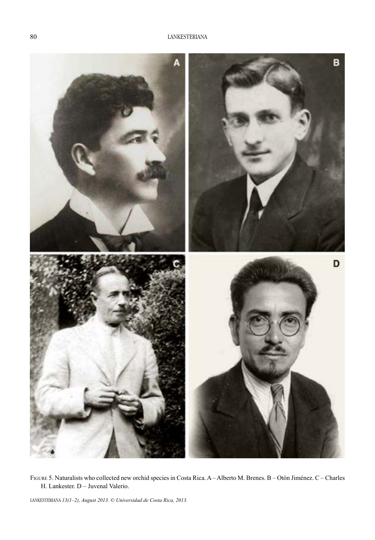

Figure 5. Naturalists who collected new orchid species in Costa Rica. A – Alberto M. Brenes. B – Otón Jiménez. C – Charles H. Lankester. D – Juvenal Valerio.

LANKESTERIANA *13(1–2), August 2013.* © *Universidad de Costa Rica, 2013.*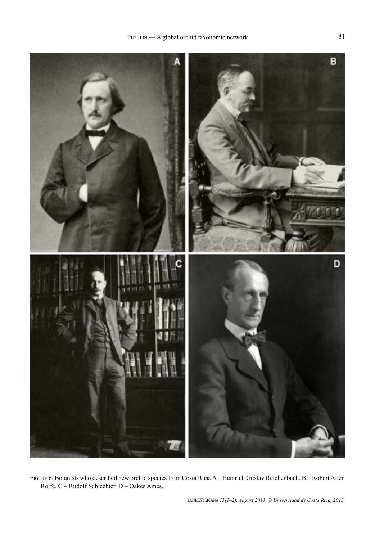

Figure 6. Botanists who described new orchid species from Costa Rica. A – Heinrich Gustav Reichenbach. B – Robert Allen Rolfe. C – Rudolf Schlechter. D – Oakes Ames.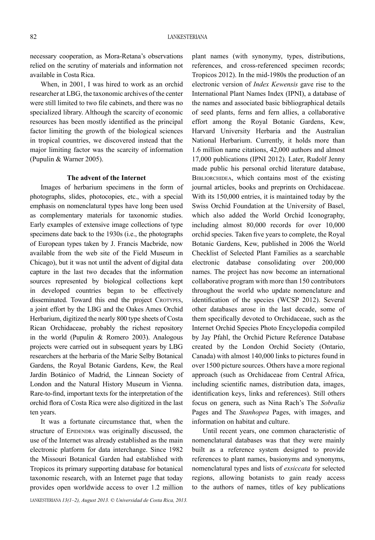necessary cooperation, as Mora-Retana's observations relied on the scrutiny of materials and information not available in Costa Rica.

When, in 2001, I was hired to work as an orchid researcher at LBG, the taxonomic archives of the center were still limited to two file cabinets, and there was no specialized library. Although the scarcity of economic resources has been mostly identified as the principal factor limiting the growth of the biological sciences in tropical countries, we discovered instead that the major limiting factor was the scarcity of information (Pupulin & Warner 2005).

# **The advent of the Internet**

Images of herbarium specimens in the form of photographs, slides, photocopies, etc., with a special emphasis on nomenclatural types have long been used as complementary materials for taxonomic studies. Early examples of extensive image collections of type specimens date back to the 1930s (i.e., the photographs of European types taken by J. Francis Macbride, now available from the web site of the Field Museum in Chicago), but it was not until the advent of digital data capture in the last two decades that the information sources represented by biological collections kept in developed countries began to be effectively disseminated. Toward this end the project CROTYPES, a joint effort by the LBG and the Oakes Ames Orchid Herbarium, digitized the nearly 800 type sheets of Costa Rican Orchidaceae, probably the richest repository in the world (Pupulin & Romero 2003). Analogous projects were carried out in subsequent years by LBG researchers at the herbaria of the Marie Selby Botanical Gardens, the Royal Botanic Gardens, Kew, the Real Jardín Botánico of Madrid, the Linnean Society of London and the Natural History Museum in Vienna. Rare-to-find, important texts for the interpretation of the orchid flora of Costa Rica were also digitized in the last ten years.

It was a fortunate circumstance that, when the structure of EPIDENDRA was originally discussed, the use of the Internet was already established as the main electronic platform for data interchange. Since 1982 the Missouri Botanical Garden had established with Tropicos its primary supporting database for botanical taxonomic research, with an Internet page that today provides open worldwide access to over 1.2 million plant names (with synonymy, types, distributions, references, and cross-referenced specimen records; Tropicos 2012). In the mid-1980s the production of an electronic version of *Index Kewensis* gave rise to the International Plant Names Index (IPNI), a database of the names and associated basic bibliographical details of seed plants, ferns and fern allies, a collaborative effort among the Royal Botanic Gardens, Kew, Harvard University Herbaria and the Australian National Herbarium. Currently, it holds more than 1.6 million name citations, 42,000 authors and almost 17,000 publications (IPNI 2012). Later, Rudolf Jenny made public his personal orchid literature database, BIBLIORCHIDEA, which contains most of the existing journal articles, books and preprints on Orchidaceae. With its 150,000 entries, it is maintained today by the Swiss Orchid Foundation at the University of Basel, which also added the World Orchid Iconography, including almost 80,000 records for over 10,000 orchid species. Taken five years to complete, the Royal Botanic Gardens, Kew, published in 2006 the World Checklist of Selected Plant Families as a searchable electronic database consolidating over 200,000 names. The project has now become an international collaborative program with more than 150 contributors throughout the world who update nomenclature and identification of the species (WCSP 2012). Several other databases arose in the last decade, some of them specifically devoted to Orchidaceae, such as the Internet Orchid Species Photo Encyclopedia compiled by Jay Pfahl, the Orchid Picture Reference Database created by the London Orchid Society (Ontario, Canada) with almost 140,000 links to pictures found in over 1500 picture sources. Others have a more regional approach (such as Orchidaceae from Central Africa, including scientific names, distribution data, images, identification keys, links and references). Still others focus on genera, such as Nina Rach's The *Sobralia* Pages and The *Stanhopea* Pages, with images, and information on habitat and culture.

Until recent years, one common characteristic of nomenclatural databases was that they were mainly built as a reference system designed to provide references to plant names, basionyms and synonyms, nomenclatural types and lists of *exsiccata* for selected regions, allowing botanists to gain ready access to the authors of names, titles of key publications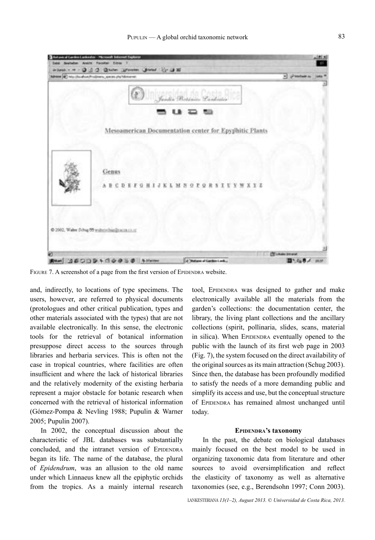

FIGURE 7. A screenshot of a page from the first version of EPIDENDRA website.

and, indirectly, to locations of type specimens. The users, however, are referred to physical documents (protologues and other critical publication, types and other materials associated with the types) that are not available electronically. In this sense, the electronic tools for the retrieval of botanical information presuppose direct access to the sources through libraries and herbaria services. This is often not the case in tropical countries, where facilities are often insufficient and where the lack of historical libraries and the relatively modernity of the existing herbaria represent a major obstacle for botanic research when concerned with the retrieval of historical information (Gómez-Pompa & Nevling 1988; Pupulin & Warner 2005; Pupulin 2007).

In 2002, the conceptual discussion about the characteristic of JBL databases was substantially concluded, and the intranet version of EPIDENDRA began its life. The name of the database, the plural of *Epidendrum*, was an allusion to the old name under which Linnaeus knew all the epiphytic orchids from the tropics. As a mainly internal research tool, EPIDENDRA was designed to gather and make electronically available all the materials from the garden's collections: the documentation center, the library, the living plant collections and the ancillary collections (spirit, pollinaria, slides, scans, material in silica). When EPIDENDRA eventually opened to the public with the launch of its first web page in 2003 (Fig. 7), the system focused on the direct availability of the original sources as its main attraction (Schug 2003). Since then, the database has been profoundly modified to satisfy the needs of a more demanding public and simplify its access and use, but the conceptual structure of EPIDENDRA has remained almost unchanged until today.

### **Epidendra's taxonomy**

In the past, the debate on biological databases mainly focused on the best model to be used in organizing taxonomic data from literature and other sources to avoid oversimplification and reflect the elasticity of taxonomy as well as alternative taxonomies (see, e.g., Berendsohn 1997; Conn 2003).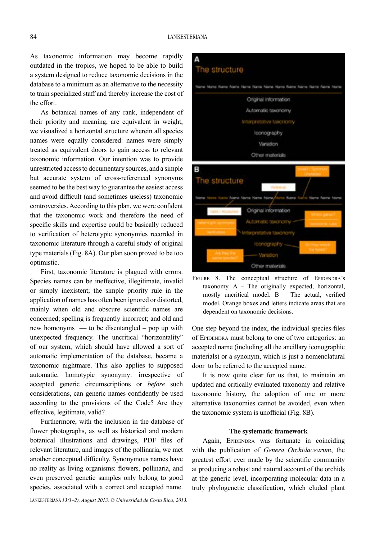As taxonomic information may become rapidly outdated in the tropics, we hoped to be able to build a system designed to reduce taxonomic decisions in the database to a minimum as an alternative to the necessity to train specialized staff and thereby increase the cost of the effort.

As botanical names of any rank, independent of their priority and meaning, are equivalent in weight, we visualized a horizontal structure wherein all species names were equally considered: names were simply treated as equivalent doors to gain access to relevant taxonomic information. Our intention was to provide unrestricted access to documentary sources, and a simple but accurate system of cross-referenced synonyms seemed to be the best way to guarantee the easiest access and avoid difficult (and sometimes useless) taxonomic controversies. According to this plan, we were confident that the taxonomic work and therefore the need of specific skills and expertise could be basically reduced to verification of heterotypic synonymies recorded in taxonomic literature through a careful study of original type materials (Fig. 8A). Our plan soon proved to be too optimistic.

First, taxonomic literature is plagued with errors. Species names can be ineffective, illegitimate, invalid or simply inexistent; the simple priority rule in the application of names has often been ignored or distorted, mainly when old and obscure scientific names are concerned; spelling is frequently incorrect; and old and new homonyms — to be disentangled – pop up with unexpected frequency. The uncritical "horizontality" of our system, which should have allowed a sort of automatic implementation of the database, became a taxonomic nightmare. This also applies to supposed automatic, homotypic synonymy: irrespective of accepted generic circumscriptions or *before* such considerations, can generic names confidently be used according to the provisions of the Code? Are they effective, legitimate, valid?

Furthermore, with the inclusion in the database of flower photographs, as well as historical and modern botanical illustrations and drawings, PDF files of relevant literature, and images of the pollinaria, we met another conceptual difficulty. Synonymous names have no reality as living organisms: flowers, pollinaria, and even preserved genetic samples only belong to good species, associated with a correct and accepted name.



FIGURE 8. The conceptual structure of EPIDENDRA's taxonomy. A – The originally expected, horizontal, mostly uncritical model. B – The actual, verified model. Orange boxes and letters indicate areas that are dependent on taxonomic decisions.

One step beyond the index, the individual species-files of Epidendra must belong to one of two categories: an accepted name (including all the ancillary iconographic materials) or a synonym, which is just a nomenclatural door to be referred to the accepted name.

It is now quite clear for us that, to maintain an updated and critically evaluated taxonomy and relative taxonomic history, the adoption of one or more alternative taxonomies cannot be avoided, even when the taxonomic system is unofficial (Fig. 8B).

#### **The systematic framework**

Again, EPIDENDRA was fortunate in coinciding with the publication of *Genera Orchidacearum*, the greatest effort ever made by the scientific community at producing a robust and natural account of the orchids at the generic level, incorporating molecular data in a truly phylogenetic classification, which eluded plant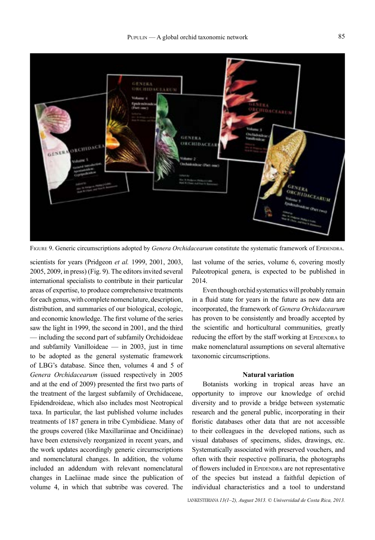

FIGURE 9. Generic circumscriptions adopted by *Genera Orchidacearum* constitute the systematic framework of EPIDENDRA.

scientists for years (Pridgeon *et al.* 1999, 2001, 2003, 2005, 2009, in press) (Fig. 9). The editors invited several international specialists to contribute in their particular areas of expertise, to produce comprehensive treatments for each genus, with complete nomenclature, description, distribution, and summaries of our biological, ecologic, and economic knowledge. The first volume of the series saw the light in 1999, the second in 2001, and the third — including the second part of subfamily Orchidoideae and subfamily Vanilloideae — in 2003, just in time to be adopted as the general systematic framework of LBG's database. Since then, volumes 4 and 5 of *Genera Orchidacearum* (issued respectively in 2005 and at the end of 2009) presented the first two parts of the treatment of the largest subfamily of Orchidaceae, Epidendroideae, which also includes most Neotropical taxa. In particular, the last published volume includes treatments of 187 genera in tribe Cymbidieae. Many of the groups covered (like Maxillariinae and Oncidiinae) have been extensively reorganized in recent years, and the work updates accordingly generic circumscriptions and nomenclatural changes. In addition, the volume included an addendum with relevant nomenclatural changes in Laeliinae made since the publication of volume 4, in which that subtribe was covered. The

last volume of the series, volume 6, covering mostly Paleotropical genera, is expected to be published in 2014.

Even though orchid systematics will probably remain in a fluid state for years in the future as new data are incorporated, the framework of *Genera Orchidacearum* has proven to be consistently and broadly accepted by the scientific and horticultural communities, greatly reducing the effort by the staff working at EPIDENDRA to make nomenclatural assumptions on several alternative taxonomic circumscriptions.

## **Natural variation**

Botanists working in tropical areas have an opportunity to improve our knowledge of orchid diversity and to provide a bridge between systematic research and the general public, incorporating in their floristic databases other data that are not accessible to their colleagues in the developed nations, such as visual databases of specimens, slides, drawings, etc. Systematically associated with preserved vouchers, and often with their respective pollinaria, the photographs of flowers included in EPIDENDRA are not representative of the species but instead a faithful depiction of individual characteristics and a tool to understand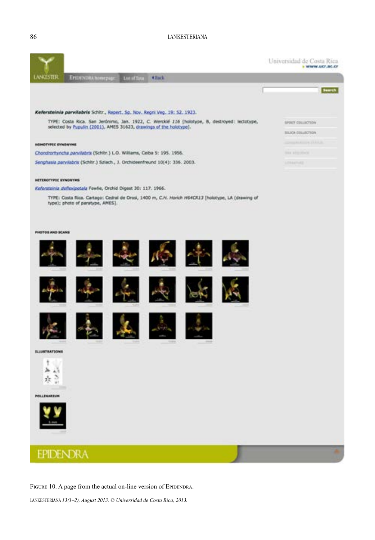# 86 LANKESTERIANA



FIGURE 10. A page from the actual on-line version of EPIDENDRA.

LANKESTERIANA *13(1–2), August 2013.* © *Universidad de Costa Rica, 2013.*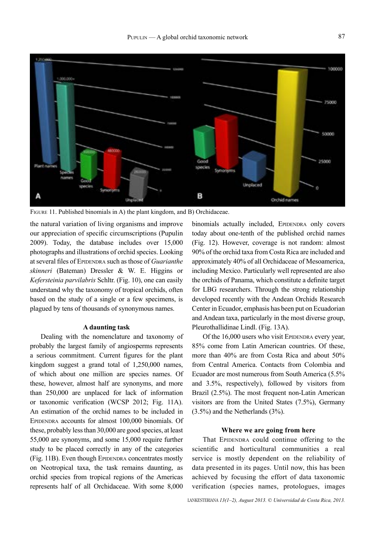

FIGURE 11. Published binomials in A) the plant kingdom, and B) Orchidaceae.

the natural variation of living organisms and improve our appreciation of specific circumscriptions (Pupulin 2009). Today, the database includes over 15,000 photographs and illustrations of orchid species. Looking at several files of EPIDENDRA such as those of *Guarianthe skinneri* (Bateman) Dressler & W. E. Higgins or *Kefersteinia parvilabris* Schltr. (Fig. 10), one can easily understand why the taxonomy of tropical orchids, often based on the study of a single or a few specimens, is plagued by tens of thousands of synonymous names.

# **A daunting task**

Dealing with the nomenclature and taxonomy of probably the largest family of angiosperms represents a serious commitment. Current figures for the plant kingdom suggest a grand total of 1,250,000 names, of which about one million are species names. Of these, however, almost half are synonyms, and more than 250,000 are unplaced for lack of information or taxonomic verification (WCSP 2012; Fig. 11A). An estimation of the orchid names to be included in EPIDENDRA accounts for almost 100,000 binomials. Of these, probably less than 30,000 are good species, at least 55,000 are synonyms, and some 15,000 require further study to be placed correctly in any of the categories (Fig. 11B). Even though EPIDENDRA concentrates mostly on Neotropical taxa, the task remains daunting, as orchid species from tropical regions of the Americas represents half of all Orchidaceae. With some 8,000 binomials actually included, EPIDENDRA only covers today about one-tenth of the published orchid names (Fig. 12). However, coverage is not random: almost 90% of the orchid taxa from Costa Rica are included and approximately 40% of all Orchidaceae of Mesoamerica, including Mexico. Particularly well represented are also the orchids of Panama, which constitute a definite target for LBG researchers. Through the strong relationship developed recently with the Andean Orchids Research Center in Ecuador, emphasis has been put on Ecuadorian and Andean taxa, particularly in the most diverse group, Pleurothallidinae Lindl. (Fig. 13A).

Of the 16,000 users who visit EPIDENDRA every year, 85% come from Latin American countries. Of these, more than 40% are from Costa Rica and about 50% from Central America. Contacts from Colombia and Ecuador are most numerous from South America (5.5% and 3.5%, respectively), followed by visitors from Brazil (2.5%). The most frequent non-Latin American visitors are from the United States (7.5%), Germany (3.5%) and the Netherlands (3%).

### **Where we are going from here**

That EPIDENDRA could continue offering to the scientific and horticultural communities a real service is mostly dependent on the reliability of data presented in its pages. Until now, this has been achieved by focusing the effort of data taxonomic verification (species names, protologues, images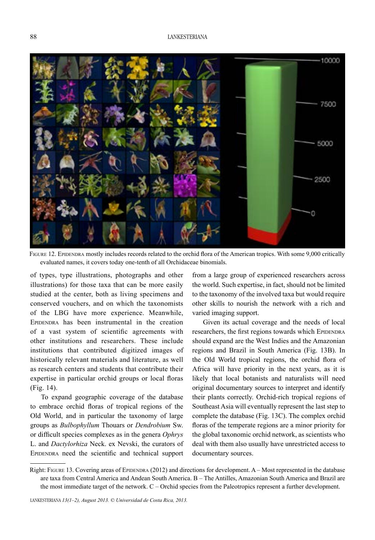

FIGURE 12. EPIDENDRA mostly includes records related to the orchid flora of the American tropics. With some 9,000 critically evaluated names, it covers today one-tenth of all Orchidaceae binomials.

of types, type illustrations, photographs and other illustrations) for those taxa that can be more easily studied at the center, both as living specimens and conserved vouchers, and on which the taxonomists of the LBG have more experience. Meanwhile, EPIDENDRA has been instrumental in the creation of a vast system of scientific agreements with other institutions and researchers. These include institutions that contributed digitized images of historically relevant materials and literature, as well as research centers and students that contribute their expertise in particular orchid groups or local floras (Fig. 14).

To expand geographic coverage of the database to embrace orchid floras of tropical regions of the Old World, and in particular the taxonomy of large groups as *Bulbophyllum* Thouars or *Dendrobium* Sw. or difficult species complexes as in the genera *Ophrys* L. and *Dactylorhiza* Neck. ex Nevski, the curators of EPIDENDRA need the scientific and technical support

from a large group of experienced researchers across the world. Such expertise, in fact, should not be limited to the taxonomy of the involved taxa but would require other skills to nourish the network with a rich and varied imaging support.

Given its actual coverage and the needs of local researchers, the first regions towards which EPIDENDRA should expand are the West Indies and the Amazonian regions and Brazil in South America (Fig. 13B). In the Old World tropical regions, the orchid flora of Africa will have priority in the next years, as it is likely that local botanists and naturalists will need original documentary sources to interpret and identify their plants correctly. Orchid-rich tropical regions of Southeast Asia will eventually represent the last step to complete the database (Fig. 13C). The complex orchid floras of the temperate regions are a minor priority for the global taxonomic orchid network, as scientists who deal with them also usually have unrestricted access to documentary sources.

Right: FIGURE 13. Covering areas of EPIDENDRA (2012) and directions for development. A – Most represented in the database are taxa from Central America and Andean South America. B – The Antilles, Amazonian South America and Brazil are the most immediate target of the network. C – Orchid species from the Paleotropics represent a further development.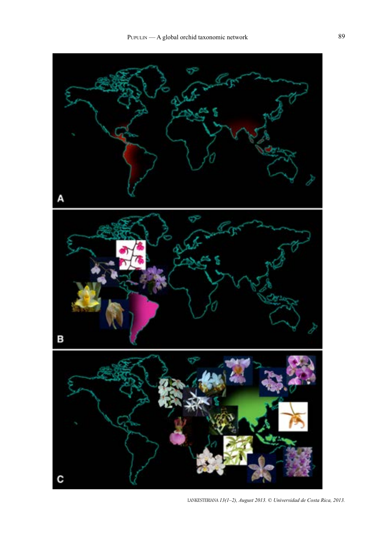

LANKESTERIANA *13(1–2), August 2013.* © *Universidad de Costa Rica, 2013.*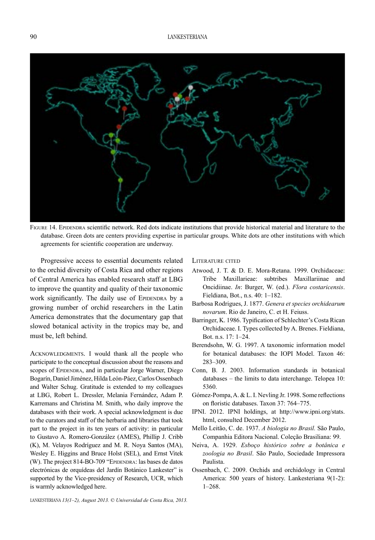

FIGURE 14. EPIDENDRA scientific network. Red dots indicate institutions that provide historical material and literature to the database. Green dots are centers providing expertise in particular groups. White dots are other institutions with which agreements for scientific cooperation are underway.

Progressive access to essential documents related to the orchid diversity of Costa Rica and other regions of Central America has enabled research staff at LBG to improve the quantity and quality of their taxonomic work significantly. The daily use of EPIDENDRA by a growing number of orchid researchers in the Latin America demonstrates that the documentary gap that slowed botanical activity in the tropics may be, and must be, left behind.

ACKNOWLEDGMENTS. I would thank all the people who participate to the conceptual discussion about the reasons and scopes of EPIDENDRA, and in particular Jorge Warner, Diego Bogarín, Daniel Jiménez, Hilda León-Páez, Carlos Ossenbach and Walter Schug. Gratitude is extended to my colleagues at LBG, Robert L. Dressler, Melania Fernández, Adam P. Karremans and Christina M. Smith, who daily improve the databases with their work. A special acknowledgment is due to the curators and staff of the herbaria and libraries that took part to the project in its ten years of activity: in particular to Gustavo A. Romero-González (AMES), Phillip J. Cribb (K), M. Velayos Rodríguez and M. R. Noya Santos (MA), Wesley E. Higgins and Bruce Holst (SEL), and Ernst Vitek (W). The project 814-BO-709 "EPIDENDRA: las bases de datos electrónicas de orquídeas del Jardín Botánico Lankester" is supported by the Vice-presidency of Research, UCR, which is warmly acknowledged here.

## LITERATURE CITED

- Atwood, J. T. & D. E. Mora-Retana. 1999. Orchidaceae: Tribe Maxillarieae: subtribes Maxillariinae and Oncidiinae. *In*: Burger, W. (ed.). *Flora costaricensis*. Fieldiana, Bot., n.s. 40: 1–182.
- Barbosa Rodrigues, J. 1877. *Genera et species orchidearum novarum*. Rio de Janeiro, C. et H. Feiuss.
- Barringer, K. 1986. Typification of Schlechter's Costa Rican Orchidaceae. I. Types collected by A. Brenes. Fieldiana, Bot. n.s. 17: 1–24.
- Berendsohn, W. G. 1997. A taxonomic information model for botanical databases: the IOPI Model. Taxon 46: 283–309.
- Conn, B. J. 2003. Information standards in botanical databases – the limits to data interchange. Telopea 10: 5360.
- Gómez-Pompa, A. & L. I. Nevling Jr. 1998. Some reflections on floristic databases. Taxon 37: 764–775.
- IPNI. 2012. IPNI holdings, at http://www.ipni.org/stats. html, consulted December 2012.
- Mello Leitão, C. de. 1937. *A biologia no Brasil.* São Paulo, Companhia Editora Nacional. Coleção Brasiliana: 99.
- Neiva, A. 1929. *Esboço histórico sobre a botânica e zoologia no Brasil*. São Paulo, Sociedade Impressora Paulista.
- Ossenbach, C. 2009. Orchids and orchidology in Central America: 500 years of history. Lankesteriana 9(1-2): 1–268.